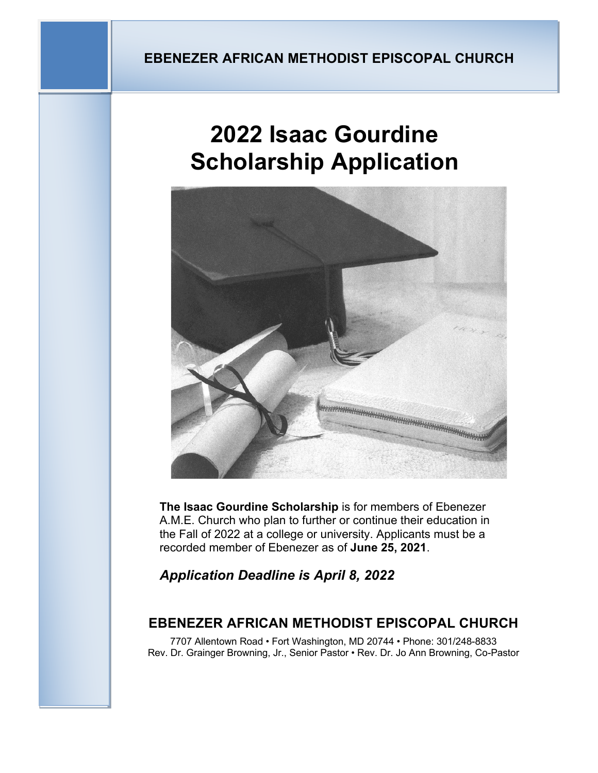# **2022 Isaac Gourdine Scholarship Application**



**The Isaac Gourdine Scholarship** is for members of Ebenezer A.M.E. Church who plan to further or continue their education in the Fall of 2022 at a college or university. Applicants must be a recorded member of Ebenezer as of **June 25, 2021**.

*Application Deadline is April 8, 2022*

## **EBENEZER AFRICAN METHODIST EPISCOPAL CHURCH**

7707 Allentown Road • Fort Washington, MD 20744 • Phone: 301/248-8833 Rev. Dr. Grainger Browning, Jr., Senior Pastor • Rev. Dr. Jo Ann Browning, Co-Pastor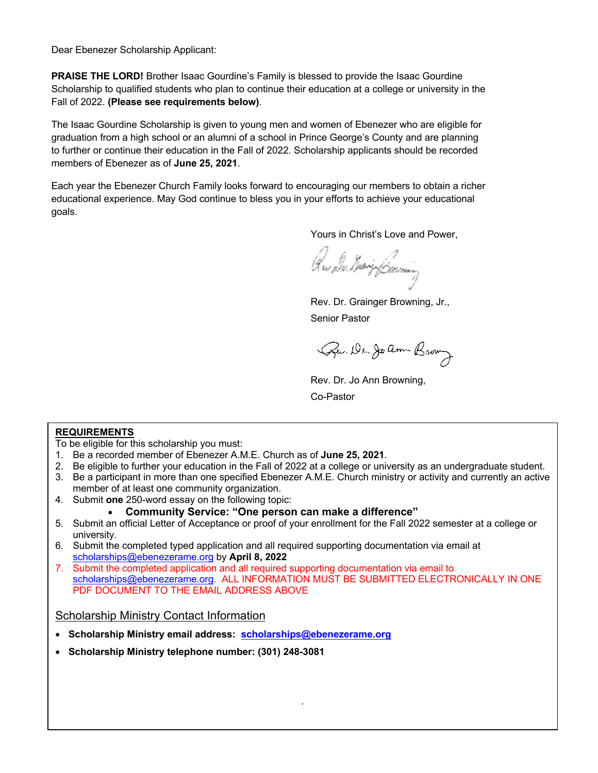Dear Ebenezer Scholarship Applicant:

**PRAISE THE LORD!** Brother Isaac Gourdine's Family is blessed to provide the Isaac Gourdine Scholarship to qualified students who plan to continue their education at a college or university in the Fall of 2022. **(Please see requirements below)**.

The Isaac Gourdine Scholarship is given to young men and women of Ebenezer who are eligible for graduation from a high school or an alumni of a school in Prince George's County and are planning to further or continue their education in the Fall of 2022. Scholarship applicants should be recorded members of Ebenezer as of **June 25, 2021**.

Each year the Ebenezer Church Family looks forward to encouraging our members to obtain a richer educational experience. May God continue to bless you in your efforts to achieve your educational goals.

Yours in Christ's Love and Power,

Krs Die GeorgeBeaming

Rev. Dr. Grainger Browning, Jr., Senior Pastor

Pu. Dr. Joann Brown

Rev. Dr. Jo Ann Browning,

Co-Pastor

#### **REQUIREMENTS**

To be eligible for this scholarship you must:

- 1. Be a recorded member of Ebenezer A.M.E. Church as of **June 25, 2021**.
- 2. Be eligible to further your education in the Fall of 2022 at a college or university as an undergraduate student.
- 3. Be a participant in more than one specified Ebenezer A.M.E. Church ministry or activity and currently an active member of at least one community organization.
- 4. Submit **one** 250-word essay on the following topic:

#### • **Community Service: "One person can make a difference"**

- 5. Submit an official Letter of Acceptance or proof of your enrollment for the Fall 2022 semester at a college or university.
- 6. Submit the completed typed application and all required supporting documentation via email at scholarships@ebenezerame.org by **April 8, 2022**
- 7. Submit the completed application and all required supporting documentation via email to scholarships@ebenezerame.org. ALL INFORMATION MUST BE SUBMITTED ELECTRONICALLY IN ONE PDF DOCUMENT TO THE EMAIL ADDRESS ABOVE

*.*

#### Scholarship Ministry Contact Information

- **Scholarship Ministry email address: scholarships@ebenezerame.org**
- **Scholarship Ministry telephone number: (301) 248-3081**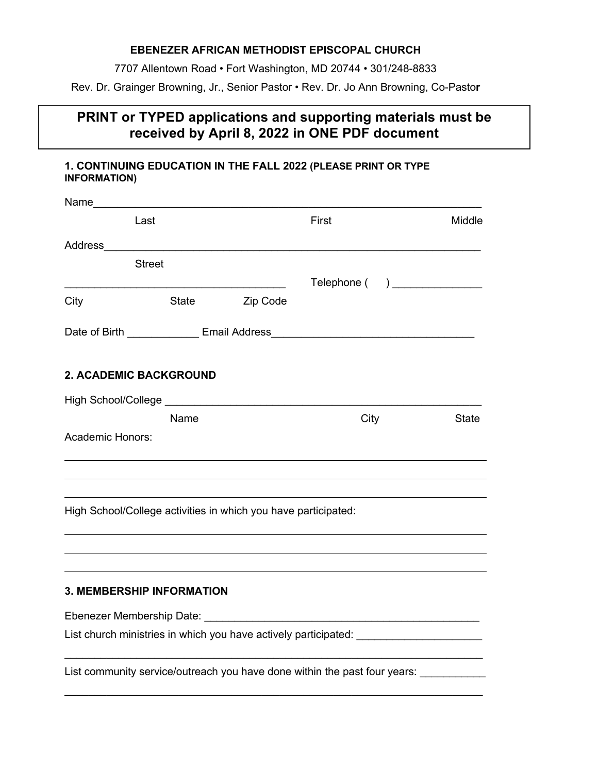#### **EBENEZER AFRICAN METHODIST EPISCOPAL CHURCH**

7707 Allentown Road • Fort Washington, MD 20744 • 301/248-8833

Rev. Dr. Grainger Browning, Jr., Senior Pastor • Rev. Dr. Jo Ann Browning, Co-Pasto**r**

## **PRINT or TYPED applications and supporting materials must be received by April 8, 2022 in ONE PDF document**

#### **1. CONTINUING EDUCATION IN THE FALL 2022 (PLEASE PRINT OR TYPE INFORMATION)**

|                                                                | Last          |          | First                                                                             | Middle       |
|----------------------------------------------------------------|---------------|----------|-----------------------------------------------------------------------------------|--------------|
|                                                                |               |          |                                                                                   |              |
|                                                                | <b>Street</b> |          |                                                                                   |              |
|                                                                |               |          | Telephone ( )                                                                     |              |
| City                                                           | State         | Zip Code |                                                                                   |              |
|                                                                |               |          |                                                                                   |              |
|                                                                |               |          |                                                                                   |              |
| <b>2. ACADEMIC BACKGROUND</b>                                  |               |          |                                                                                   |              |
|                                                                |               |          |                                                                                   |              |
|                                                                | Name          |          | City                                                                              | <b>State</b> |
| <b>Academic Honors:</b>                                        |               |          |                                                                                   |              |
|                                                                |               |          | ,我们也不会有一个人的人,我们也不会有一个人的人,我们也不会有一个人的人,我们也不会有一个人的人,我们也不会有一个人的人。""我们的人,我们也不会有一个人的人,我 |              |
|                                                                |               |          |                                                                                   |              |
| High School/College activities in which you have participated: |               |          |                                                                                   |              |
|                                                                |               |          |                                                                                   |              |
|                                                                |               |          |                                                                                   |              |
| <b>3. MEMBERSHIP INFORMATION</b>                               |               |          |                                                                                   |              |
|                                                                |               |          |                                                                                   |              |
|                                                                |               |          | List church ministries in which you have actively participated: ________________  |              |
|                                                                |               |          | List community service/outreach you have done within the past four years:         |              |

 $\_$